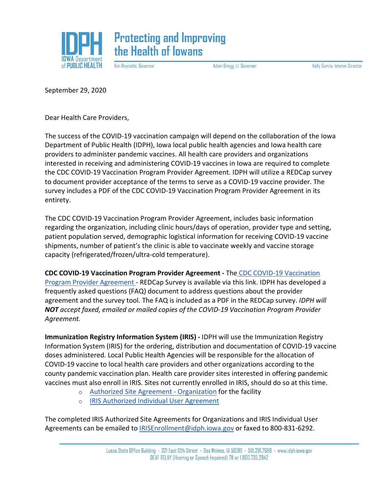

Kim Reynolds, Governor

Adam Gregg, Lt. Governor

Kelly Garcia, Interim Director

September 29, 2020

Dear Health Care Providers,

The success of the COVID-19 vaccination campaign will depend on the collaboration of the Iowa Department of Public Health (IDPH), Iowa local public health agencies and Iowa health care providers to administer pandemic vaccines. All health care providers and organizations interested in receiving and administering COVID-19 vaccines in Iowa are required to complete the CDC COVID-19 Vaccination Program Provider Agreement. IDPH will utilize a REDCap survey to document provider acceptance of the terms to serve as a COVID-19 vaccine provider. The survey includes a PDF of the CDC COVID-19 Vaccination Program Provider Agreement in its entirety.

The CDC COVID-19 Vaccination Program Provider Agreement, includes basic information regarding the organization, including clinic hours/days of operation, provider type and setting, patient population served, demographic logistical information for receiving COVID-19 vaccine shipments, number of patient's the clinic is able to vaccinate weekly and vaccine storage capacity (refrigerated/frozen/ultra-cold temperature).

**CDC COVID-19 Vaccination Program Provider Agreement -** The [CDC COVID-19 Vaccination](https://redcap.idph.state.ia.us/surveys/?s=PCT38E9TKW)  [Program Provider Agreement -](https://redcap.idph.state.ia.us/surveys/?s=PCT38E9TKW) REDCap Survey is available via this link. IDPH has developed a frequently asked questions (FAQ) document to address questions about the provider agreement and the survey tool. The FAQ is included as a PDF in the REDCap survey. *IDPH will NOT accept faxed, emailed or mailed copies of the COVID-19 Vaccination Program Provider Agreement.*

**Immunization Registry Information System (IRIS) -** IDPH will use the Immunization Registry Information System (IRIS) for the ordering, distribution and documentation of COVID-19 vaccine doses administered. Local Public Health Agencies will be responsible for the allocation of COVID-19 vaccine to local health care providers and other organizations according to the county pandemic vaccination plan. Health care provider sites interested in offering pandemic vaccines must also enroll in IRIS. Sites not currently enrolled in IRIS, should do so at this time.

- o [Authorized Site Agreement -](https://idph.iowa.gov/Portals/1/userfiles/206/IRIS%20Authorized%20Agreement-Organization%20-%20August%202017%20fill%20in%20form-final.pdf) Organization for the facility
- o [IRIS Authorized Individual User Agreement](https://idph.iowa.gov/Portals/1/userfiles/39/IRIS%20Authorized%20Individual%20User%20Agreement%20January%202017%201-10-17%20Fill%20In%20Form.pdf)

The completed IRIS Authorized Site Agreements for Organizations and IRIS Individual User Agreements can be emailed to **IRISEnrollment@idph.iowa.gov** or faxed to 800-831-6292.